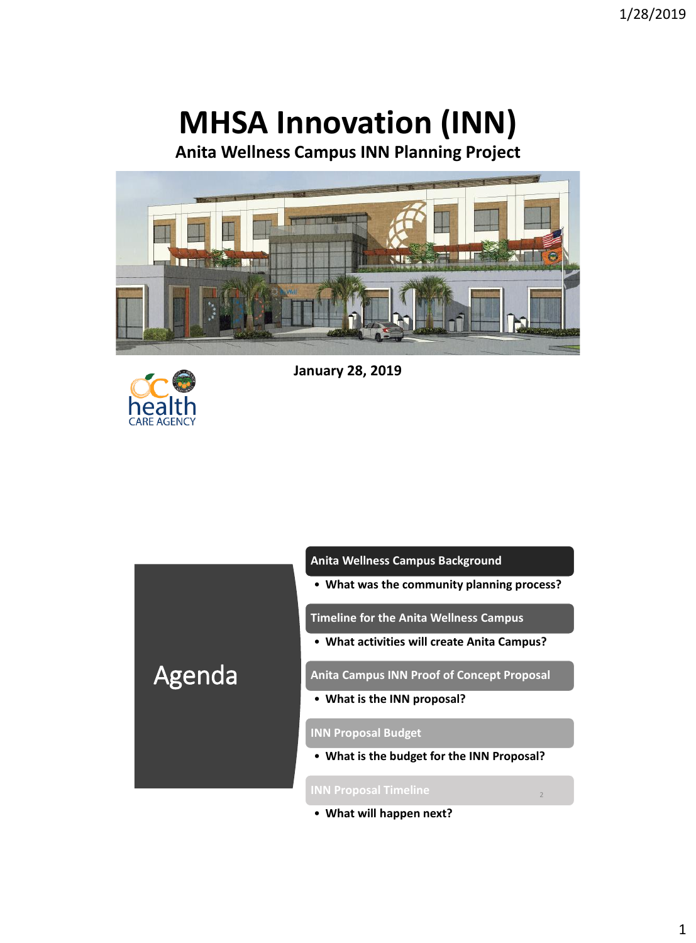# **MHSA Innovation (INN)**

**Anita Wellness Campus INN Planning Project**





**January 28, 2019**



**Anita Wellness Campus Background**

• **What was the community planning process?**

**Timeline for the Anita Wellness Campus**

• **What activities will create Anita Campus?**

**Anita Campus INN Proof of Concept Proposal** 

• **What is the INN proposal?**

#### **INN Proposal Budget**

• **What is the budget for the INN Proposal?**

2

• **What will happen next?**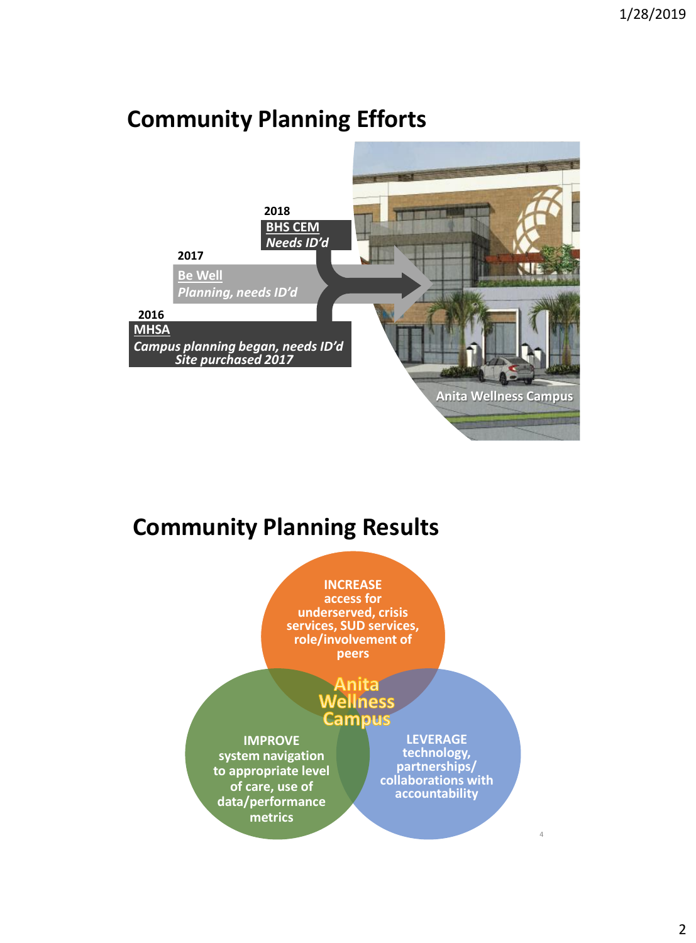### 3 **2016 Be Well** *Planning, needs ID'd* **2017 2018 Anita Wellness Campus BHS CEM** *Needs ID'd* **MHSA** *Campus planning began, needs ID'd Site purchased 2017*

## **Community Planning Efforts**

## **Community Planning Results**

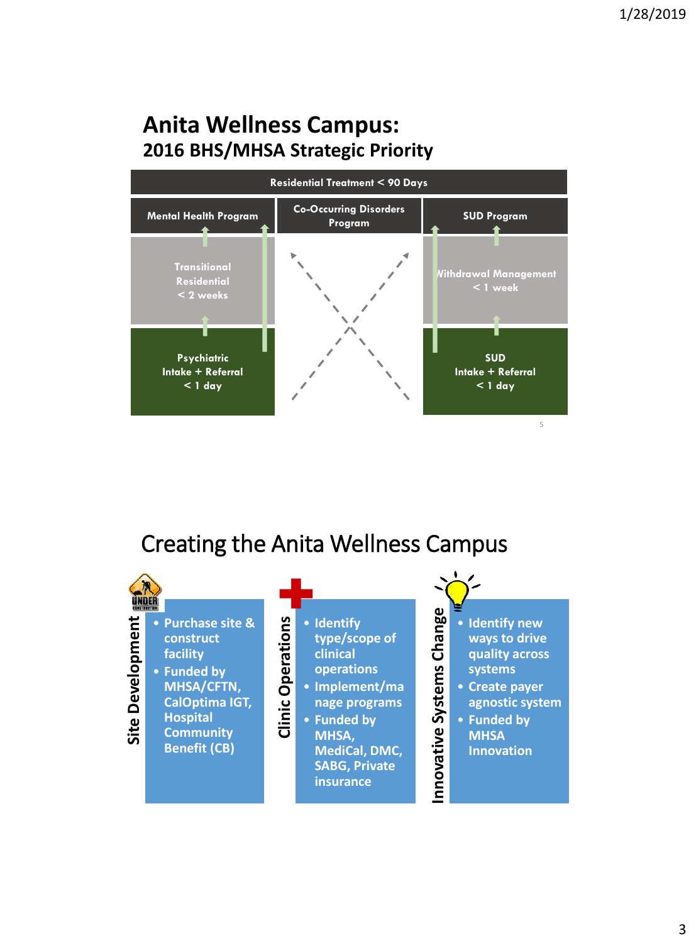### **Anita Wellness Campus: 2016 BHS/MHSA Strategic Priority**



### Creating the Anita Wellness Campus

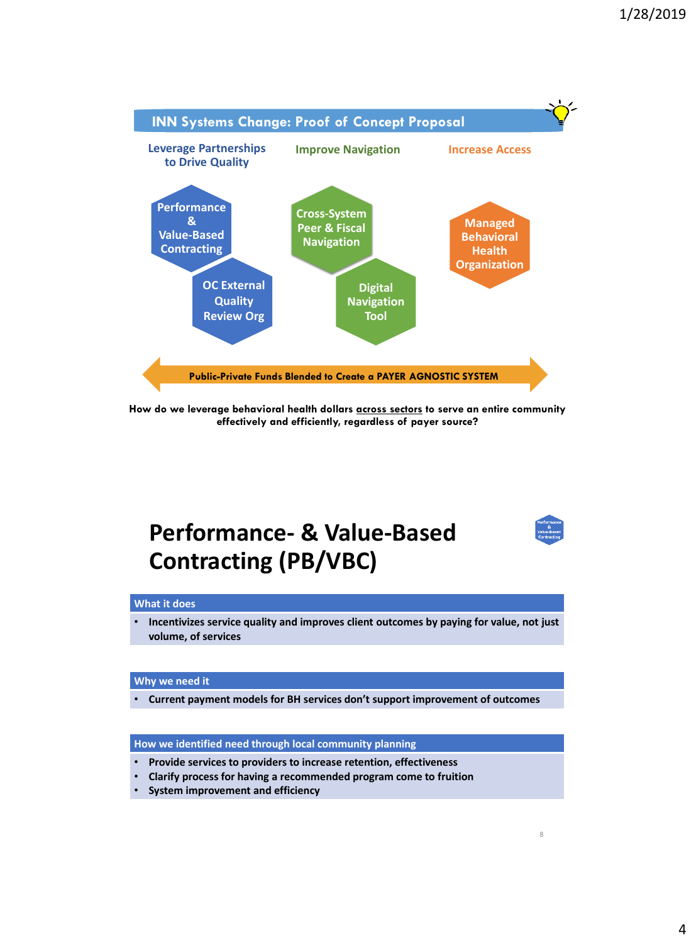

**How do we leverage behavioral health dollars across sectors to serve an entire community effectively and efficiently, regardless of payer source?** 

### **Performance- & Value-Based Contracting (PB/VBC)**



8

#### **What it does**

• **Incentivizes service quality and improves client outcomes by paying for value, not just volume, of services**

#### **Why we need it**

• **Current payment models for BH services don't support improvement of outcomes**

**How we identified need through local community planning**

- **Provide services to providers to increase retention, effectiveness**
- **Clarify process for having a recommended program come to fruition**
- **System improvement and efficiency**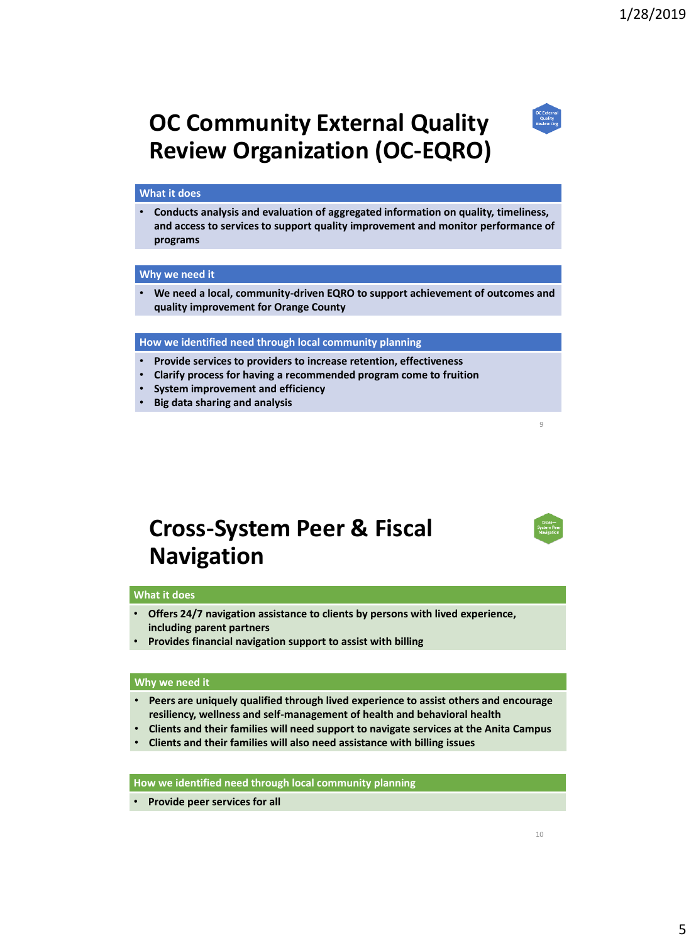## **OC Community External Quality Review Organization (OC-EQRO)**

#### **What it does**

• **Conducts analysis and evaluation of aggregated information on quality, timeliness, and access to services to support quality improvement and monitor performance of programs** 

#### **Why we need it**

• **We need a local, community-driven EQRO to support achievement of outcomes and quality improvement for Orange County**

#### **How we identified need through local community planning**

- **Provide services to providers to increase retention, effectiveness**
- **Clarify process for having a recommended program come to fruition**
- **System improvement and efficiency**
- **Big data sharing and analysis**

### **Cross-System Peer & Fiscal Navigation**

#### **What it does**

- **Offers 24/7 navigation assistance to clients by persons with lived experience, including parent partners**
- **Provides financial navigation support to assist with billing**

#### **Why we need it**

- **Peers are uniquely qualified through lived experience to assist others and encourage resiliency, wellness and self-management of health and behavioral health**
- **Clients and their families will need support to navigate services at the Anita Campus**
- **Clients and their families will also need assistance with billing issues**

#### **How we identified need through local community planning**

• **Provide peer services for all**





9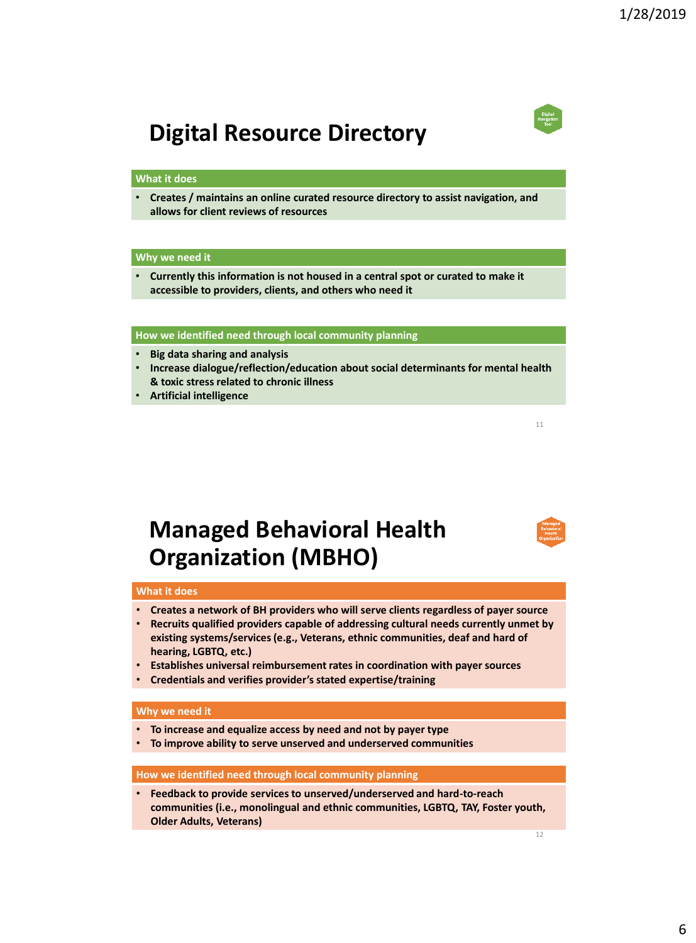## **Digital Resource Directory**

#### **What it does**

• **Creates / maintains an online curated resource directory to assist navigation, and allows for client reviews of resources**

#### **Why we need it**

• **Currently this information is not housed in a central spot or curated to make it accessible to providers, clients, and others who need it**

#### **How we identified need through local community planning**

- **Big data sharing and analysis**
- **Increase dialogue/reflection/education about social determinants for mental health & toxic stress related to chronic illness**
- **Artificial intelligence**

### **Managed Behavioral Health Organization (MBHO)**

### **What it does**

- **Creates a network of BH providers who will serve clients regardless of payer source**
- **Recruits qualified providers capable of addressing cultural needs currently unmet by existing systems/services (e.g., Veterans, ethnic communities, deaf and hard of hearing, LGBTQ, etc.)**
- **Establishes universal reimbursement rates in coordination with payer sources**
- **Credentials and verifies provider's stated expertise/training**

#### **Why we need it**

- **To increase and equalize access by need and not by payer type**
- **To improve ability to serve unserved and underserved communities**

#### **How we identified need through local community planning**

• **Feedback to provide services to unserved/underserved and hard-to-reach communities (i.e., monolingual and ethnic communities, LGBTQ, TAY, Foster youth, Older Adults, Veterans)**

11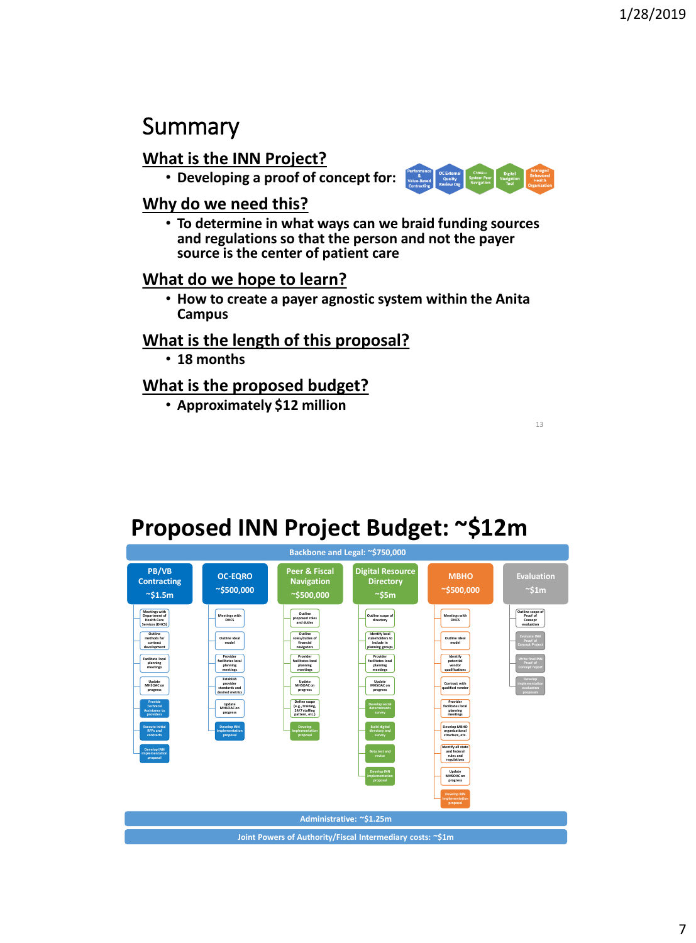### Summary

### **What is the INN Project?**

• **Developing a proof of concept for:**  $\frac{N_{\text{observed}}}{N_{\text{observed}}}\frac{C_{\text{COS}}}{N_{\text{observed}}}\frac{C_{\text{COS}}}{N_{\text{observed}}}\frac{C_{\text{COS}}}{N_{\text{observed}}}\frac{C_{\text{COS}}}{N_{\text{observed}}}\frac{C_{\text{COS}}}{N_{\text{observed}}}\frac{C_{\text{COS}}}{N_{\text{observed}}}\frac{C_{\text{COS}}}{N_{\text{observed}}}\frac{C_{\text{COS}}}{N_{\text{observed}}}\frac$ 



13

### **Why do we need this?**

• **To determine in what ways can we braid funding sources and regulations so that the person and not the payer source is the center of patient care**

### **What do we hope to learn?**

• **How to create a payer agnostic system within the Anita Campus**

### **What is the length of this proposal?**

• **18 months** 

### **What is the proposed budget?**

• **Approximately \$12 million**

### **Proposed INN Project Budget: ~\$12m**